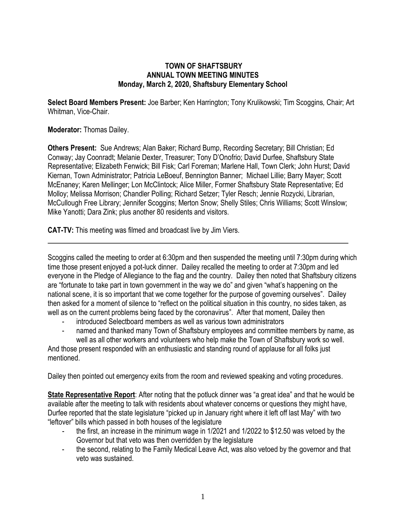## **TOWN OF SHAFTSBURY ANNUAL TOWN MEETING MINUTES Monday, March 2, 2020, Shaftsbury Elementary School**

**Select Board Members Present:** Joe Barber; Ken Harrington; Tony Krulikowski; Tim Scoggins*,* Chair; Art Whitman, Vice-Chair.

## **Moderator:** Thomas Dailey.

**Others Present:** Sue Andrews; Alan Baker; Richard Bump, Recording Secretary; Bill Christian; Ed Conway; Jay Coonradt; Melanie Dexter, Treasurer; Tony D'Onofrio; David Durfee, Shaftsbury State Representative; Elizabeth Fenwick; Bill Fisk; Carl Foreman; Marlene Hall, Town Clerk; John Hurst; David Kiernan, Town Administrator; Patricia LeBoeuf, Bennington Banner; Michael Lillie; Barry Mayer; Scott McEnaney; Karen Mellinger; Lon McClintock; Alice Miller, Former Shaftsbury State Representative; Ed Molloy; Melissa Morrison; Chandler Polling; Richard Setzer; Tyler Resch; Jennie Rozycki, Librarian, McCullough Free Library; Jennifer Scoggins; Merton Snow; Shelly Stiles; Chris Williams; Scott Winslow; Mike Yanotti; Dara Zink; plus another 80 residents and visitors.

**CAT-TV:** This meeting was filmed and broadcast live by Jim Viers.

Scoggins called the meeting to order at 6:30pm and then suspended the meeting until 7:30pm during which time those present enjoyed a pot-luck dinner. Dailey recalled the meeting to order at 7:30pm and led everyone in the Pledge of Allegiance to the flag and the country. Dailey then noted that Shaftsbury citizens are "fortunate to take part in town government in the way we do" and given "what's happening on the national scene, it is so important that we come together for the purpose of governing ourselves". Dailey then asked for a moment of silence to "reflect on the political situation in this country, no sides taken, as well as on the current problems being faced by the coronavirus". After that moment, Dailey then

- introduced Selectboard members as well as various town administrators
- hamed and thanked many Town of Shaftsbury employees and committee members by name, as well as all other workers and volunteers who help make the Town of Shaftsbury work so well.

And those present responded with an enthusiastic and standing round of applause for all folks just mentioned.

Dailey then pointed out emergency exits from the room and reviewed speaking and voting procedures.

**State Representative Report**: After noting that the potluck dinner was "a great idea" and that he would be available after the meeting to talk with residents about whatever concerns or questions they might have, Durfee reported that the state legislature "picked up in January right where it left off last May" with two "leftover" bills which passed in both houses of the legislature

- the first, an increase in the minimum wage in 1/2021 and 1/2022 to \$12.50 was vetoed by the Governor but that veto was then overridden by the legislature
- the second, relating to the Family Medical Leave Act, was also vetoed by the governor and that veto was sustained.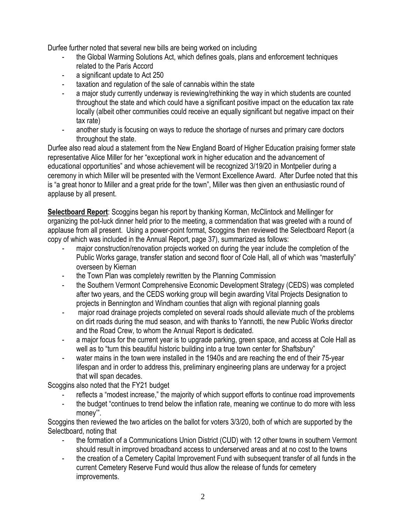Durfee further noted that several new bills are being worked on including

- the Global Warming Solutions Act, which defines goals, plans and enforcement techniques related to the Paris Accord
- a significant update to Act 250
- taxation and regulation of the sale of cannabis within the state
- a major study currently underway is reviewing/rethinking the way in which students are counted throughout the state and which could have a significant positive impact on the education tax rate locally (albeit other communities could receive an equally significant but negative impact on their tax rate)
- another study is focusing on ways to reduce the shortage of nurses and primary care doctors throughout the state.

Durfee also read aloud a statement from the New England Board of Higher Education praising former state representative Alice Miller for her "exceptional work in higher education and the advancement of educational opportunities" and whose achievement will be recognized 3/19/20 in Montpelier during a ceremony in which Miller will be presented with the Vermont Excellence Award. After Durfee noted that this is "a great honor to Miller and a great pride for the town", Miller was then given an enthusiastic round of applause by all present.

**Selectboard Report**: Scoggins began his report by thanking Korman, McClintock and Mellinger for organizing the pot-luck dinner held prior to the meeting, a commendation that was greeted with a round of applause from all present. Using a power-point format, Scoggins then reviewed the Selectboard Report (a copy of which was included in the Annual Report, page 37), summarized as follows:

- major construction/renovation projects worked on during the year include the completion of the Public Works garage, transfer station and second floor of Cole Hall, all of which was "masterfully" overseen by Kiernan
- the Town Plan was completely rewritten by the Planning Commission
- the Southern Vermont Comprehensive Economic Development Strategy (CEDS) was completed after two years, and the CEDS working group will begin awarding Vital Projects Designation to projects in Bennington and Windham counties that align with regional planning goals
- major road drainage projects completed on several roads should alleviate much of the problems on dirt roads during the mud season, and with thanks to Yannotti, the new Public Works director and the Road Crew, to whom the Annual Report is dedicated.
- a major focus for the current year is to upgrade parking, green space, and access at Cole Hall as well as to "turn this beautiful historic building into a true town center for Shaftsbury"
- water mains in the town were installed in the 1940s and are reaching the end of their 75-year lifespan and in order to address this, preliminary engineering plans are underway for a project that will span decades.

Scoggins also noted that the FY21 budget

- reflects a "modest increase," the majority of which support efforts to continue road improvements
- the budget "continues to trend below the inflation rate, meaning we continue to do more with less money'".

Scoggins then reviewed the two articles on the ballot for voters 3/3/20, both of which are supported by the Selectboard, noting that

- the formation of a Communications Union District (CUD) with 12 other towns in southern Vermont should result in improved broadband access to underserved areas and at no cost to the towns
- the creation of a Cemetery Capital Improvement Fund with subsequent transfer of all funds in the current Cemetery Reserve Fund would thus allow the release of funds for cemetery improvements.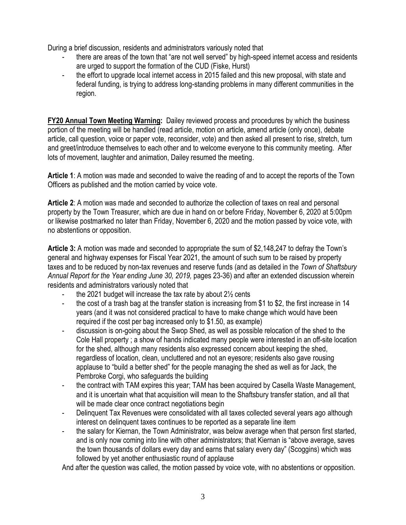During a brief discussion, residents and administrators variously noted that

- there are areas of the town that "are not well served" by high-speed internet access and residents are urged to support the formation of the CUD (Fiske, Hurst)
- the effort to upgrade local internet access in 2015 failed and this new proposal, with state and federal funding, is trying to address long-standing problems in many different communities in the region.

**FY20 Annual Town Meeting Warning:** Dailey reviewed process and procedures by which the business portion of the meeting will be handled (read article, motion on article, amend article (only once), debate article, call question, voice or paper vote, reconsider, vote) and then asked all present to rise, stretch, turn and greet/introduce themselves to each other and to welcome everyone to this community meeting. After lots of movement, laughter and animation, Dailey resumed the meeting.

**Article 1**: A motion was made and seconded to waive the reading of and to accept the reports of the Town Officers as published and the motion carried by voice vote.

**Article 2**: A motion was made and seconded to authorize the collection of taxes on real and personal property by the Town Treasurer, which are due in hand on or before Friday, November 6, 2020 at 5:00pm or likewise postmarked no later than Friday, November 6, 2020 and the motion passed by voice vote, with no abstentions or opposition.

**Article 3:** A motion was made and seconded to appropriate the sum of \$2,148,247 to defray the Town's general and highway expenses for Fiscal Year 2021, the amount of such sum to be raised by property taxes and to be reduced by non-tax revenues and reserve funds (and as detailed in the *Town of Shaftsbury Annual Report for the Year ending June 30, 2019,* pages 23-36) and after an extended discussion wherein residents and administrators variously noted that

- the 2021 budget will increase the tax rate by about  $2\frac{1}{2}$  cents
- the cost of a trash bag at the transfer station is increasing from \$1 to \$2, the first increase in 14 years (and it was not considered practical to have to make change which would have been required if the cost per bag increased only to \$1.50, as example)
- discussion is on-going about the Swop Shed, as well as possible relocation of the shed to the Cole Hall property ; a show of hands indicated many people were interested in an off-site location for the shed, although many residents also expressed concern about keeping the shed, regardless of location, clean, uncluttered and not an eyesore; residents also gave rousing applause to "build a better shed" for the people managing the shed as well as for Jack, the Pembroke Corgi, who safeguards the building
- the contract with TAM expires this year; TAM has been acquired by Casella Waste Management, and it is uncertain what that acquisition will mean to the Shaftsbury transfer station, and all that will be made clear once contract negotiations begin
- Delinquent Tax Revenues were consolidated with all taxes collected several years ago although interest on delinquent taxes continues to be reported as a separate line item
- the salary for Kiernan, the Town Administrator, was below average when that person first started, and is only now coming into line with other administrators; that Kiernan is "above average, saves the town thousands of dollars every day and earns that salary every day" (Scoggins) which was followed by yet another enthusiastic round of applause

And after the question was called, the motion passed by voice vote, with no abstentions or opposition.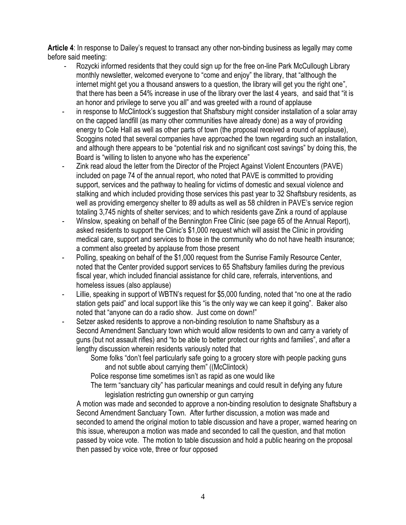**Article 4**: In response to Dailey's request to transact any other non-binding business as legally may come before said meeting:

- Rozycki informed residents that they could sign up for the free on-line Park McCullough Library monthly newsletter, welcomed everyone to "come and enjoy" the library, that "although the internet might get you a thousand answers to a question, the library will get you the right one", that there has been a 54% increase in use of the library over the last 4 years, and said that "it is an honor and privilege to serve you all" and was greeted with a round of applause
- in response to McClintock's suggestion that Shaftsbury might consider installation of a solar array on the capped landfill (as many other communities have already done) as a way of providing energy to Cole Hall as well as other parts of town (the proposal received a round of applause), Scoggins noted that several companies have approached the town regarding such an installation, and although there appears to be "potential risk and no significant cost savings" by doing this, the Board is "willing to listen to anyone who has the experience"
- Zink read aloud the letter from the Director of the Project Against Violent Encounters (PAVE) included on page 74 of the annual report, who noted that PAVE is committed to providing support, services and the pathway to healing for victims of domestic and sexual violence and stalking and which included providing those services this past year to 32 Shaftsbury residents, as well as providing emergency shelter to 89 adults as well as 58 children in PAVE's service region totaling 3,745 nights of shelter services; and to which residents gave Zink a round of applause
- Winslow, speaking on behalf of the Bennington Free Clinic (see page 65 of the Annual Report), asked residents to support the Clinic's \$1,000 request which will assist the Clinic in providing medical care, support and services to those in the community who do not have health insurance; a comment also greeted by applause from those present
- Polling, speaking on behalf of the \$1,000 request from the Sunrise Family Resource Center, noted that the Center provided support services to 65 Shaftsbury families during the previous fiscal year, which included financial assistance for child care, referrals, interventions, and homeless issues (also applause)
- Lillie, speaking in support of WBTN's request for \$5,000 funding, noted that "no one at the radio station gets paid" and local support like this "is the only way we can keep it going". Baker also noted that "anyone can do a radio show. Just come on down!"
- Setzer asked residents to approve a non-binding resolution to name Shaftsbury as a Second Amendment Sanctuary town which would allow residents to own and carry a variety of guns (but not assault rifles) and "to be able to better protect our rights and families", and after a lengthy discussion wherein residents variously noted that
	- Some folks "don't feel particularly safe going to a grocery store with people packing guns and not subtle about carrying them" ((McClintock)

Police response time sometimes isn't as rapid as one would like

The term "sanctuary city" has particular meanings and could result in defying any future legislation restricting gun ownership or gun carrying

A motion was made and seconded to approve a non-binding resolution to designate Shaftsbury a Second Amendment Sanctuary Town. After further discussion, a motion was made and seconded to amend the original motion to table discussion and have a proper, warned hearing on this issue, whereupon a motion was made and seconded to call the question, and that motion passed by voice vote. The motion to table discussion and hold a public hearing on the proposal then passed by voice vote, three or four opposed